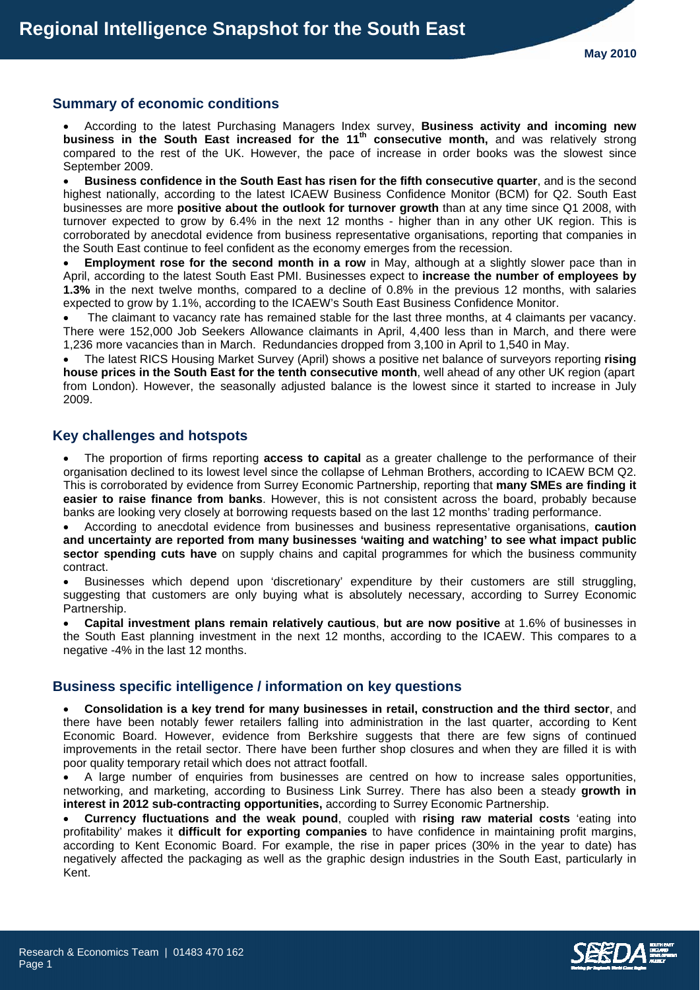### **Summary of economic conditions**

• According to the latest Purchasing Managers Index survey, **Business activity and incoming new**  business in the South East increased for the 11<sup>th</sup> consecutive month, and was relatively strong compared to the rest of the UK. However, the pace of increase in order books was the slowest since September 2009.

• **Business confidence in the South East has risen for the fifth consecutive quarter**, and is the second highest nationally, according to the latest ICAEW Business Confidence Monitor (BCM) for Q2. South East businesses are more **positive about the outlook for turnover growth** than at any time since Q1 2008, with turnover expected to grow by 6.4% in the next 12 months - higher than in any other UK region. This is corroborated by anecdotal evidence from business representative organisations, reporting that companies in the South East continue to feel confident as the economy emerges from the recession.

**Employment rose for the second month in a row** in May, although at a slightly slower pace than in April, according to the latest South East PMI. Businesses expect to **increase the number of employees by 1.3%** in the next twelve months, compared to a decline of 0.8% in the previous 12 months, with salaries expected to grow by 1.1%, according to the ICAEW's South East Business Confidence Monitor.

The claimant to vacancy rate has remained stable for the last three months, at 4 claimants per vacancy. There were 152,000 Job Seekers Allowance claimants in April, 4,400 less than in March, and there were 1,236 more vacancies than in March. Redundancies dropped from 3,100 in April to 1,540 in May.

• The latest RICS Housing Market Survey (April) shows a positive net balance of surveyors reporting **rising house prices in the South East for the tenth consecutive month**, well ahead of any other UK region (apart from London). However, the seasonally adjusted balance is the lowest since it started to increase in July 2009.

### **Key challenges and hotspots**

• The proportion of firms reporting **access to capital** as a greater challenge to the performance of their organisation declined to its lowest level since the collapse of Lehman Brothers, according to ICAEW BCM Q2. This is corroborated by evidence from Surrey Economic Partnership, reporting that **many SMEs are finding it easier to raise finance from banks**. However, this is not consistent across the board, probably because banks are looking very closely at borrowing requests based on the last 12 months' trading performance.

• According to anecdotal evidence from businesses and business representative organisations, **caution and uncertainty are reported from many businesses 'waiting and watching' to see what impact public sector spending cuts have** on supply chains and capital programmes for which the business community contract.

• Businesses which depend upon 'discretionary' expenditure by their customers are still struggling, suggesting that customers are only buying what is absolutely necessary, according to Surrey Economic Partnership.

• **Capital investment plans remain relatively cautious**, **but are now positive** at 1.6% of businesses in the South East planning investment in the next 12 months, according to the ICAEW. This compares to a negative -4% in the last 12 months.

#### **Business specific intelligence / information on key questions**

• **Consolidation is a key trend for many businesses in retail, construction and the third sector**, and there have been notably fewer retailers falling into administration in the last quarter, according to Kent Economic Board. However, evidence from Berkshire suggests that there are few signs of continued improvements in the retail sector. There have been further shop closures and when they are filled it is with poor quality temporary retail which does not attract footfall.

• A large number of enquiries from businesses are centred on how to increase sales opportunities, networking, and marketing, according to Business Link Surrey. There has also been a steady **growth in interest in 2012 sub-contracting opportunities,** according to Surrey Economic Partnership.

• **Currency fluctuations and the weak pound**, coupled with **rising raw material costs** 'eating into profitability' makes it **difficult for exporting companies** to have confidence in maintaining profit margins, according to Kent Economic Board. For example, the rise in paper prices (30% in the year to date) has negatively affected the packaging as well as the graphic design industries in the South East, particularly in Kent.

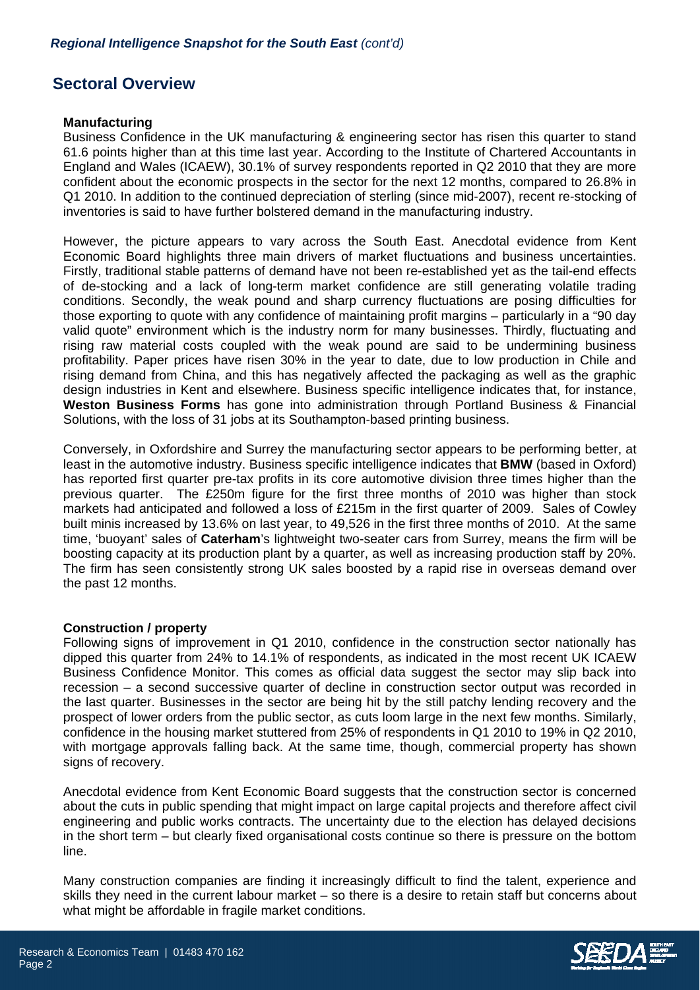# **Sectoral Overview**

### **Manufacturing**

Business Confidence in the UK manufacturing & engineering sector has risen this quarter to stand 61.6 points higher than at this time last year. According to the Institute of Chartered Accountants in England and Wales (ICAEW), 30.1% of survey respondents reported in Q2 2010 that they are more confident about the economic prospects in the sector for the next 12 months, compared to 26.8% in Q1 2010. In addition to the continued depreciation of sterling (since mid-2007), recent re-stocking of inventories is said to have further bolstered demand in the manufacturing industry.

However, the picture appears to vary across the South East. Anecdotal evidence from Kent Economic Board highlights three main drivers of market fluctuations and business uncertainties. Firstly, traditional stable patterns of demand have not been re-established yet as the tail-end effects of de-stocking and a lack of long-term market confidence are still generating volatile trading conditions. Secondly, the weak pound and sharp currency fluctuations are posing difficulties for those exporting to quote with any confidence of maintaining profit margins – particularly in a "90 day valid quote" environment which is the industry norm for many businesses. Thirdly, fluctuating and rising raw material costs coupled with the weak pound are said to be undermining business profitability. Paper prices have risen 30% in the year to date, due to low production in Chile and rising demand from China, and this has negatively affected the packaging as well as the graphic design industries in Kent and elsewhere. Business specific intelligence indicates that, for instance, **Weston Business Forms** has gone into administration through Portland Business & Financial Solutions, with the loss of 31 jobs at its Southampton-based printing business.

Conversely, in Oxfordshire and Surrey the manufacturing sector appears to be performing better, at least in the automotive industry. Business specific intelligence indicates that **BMW** (based in Oxford) has reported first quarter pre-tax profits in its core automotive division three times higher than the previous quarter. The £250m figure for the first three months of 2010 was higher than stock markets had anticipated and followed a loss of £215m in the first quarter of 2009. Sales of Cowley built minis increased by 13.6% on last year, to 49,526 in the first three months of 2010. At the same time, 'buoyant' sales of **Caterham**'s lightweight two-seater cars from Surrey, means the firm will be boosting capacity at its production plant by a quarter, as well as increasing production staff by 20%. The firm has seen consistently strong UK sales boosted by a rapid rise in overseas demand over the past 12 months.

# **Construction / property**

Following signs of improvement in Q1 2010, confidence in the construction sector nationally has dipped this quarter from 24% to 14.1% of respondents, as indicated in the most recent UK ICAEW Business Confidence Monitor. This comes as official data suggest the sector may slip back into recession – a second successive quarter of decline in construction sector output was recorded in the last quarter. Businesses in the sector are being hit by the still patchy lending recovery and the prospect of lower orders from the public sector, as cuts loom large in the next few months. Similarly, confidence in the housing market stuttered from 25% of respondents in Q1 2010 to 19% in Q2 2010, with mortgage approvals falling back. At the same time, though, commercial property has shown signs of recovery.

Anecdotal evidence from Kent Economic Board suggests that the construction sector is concerned about the cuts in public spending that might impact on large capital projects and therefore affect civil engineering and public works contracts. The uncertainty due to the election has delayed decisions in the short term – but clearly fixed organisational costs continue so there is pressure on the bottom line.

Many construction companies are finding it increasingly difficult to find the talent, experience and skills they need in the current labour market – so there is a desire to retain staff but concerns about what might be affordable in fragile market conditions.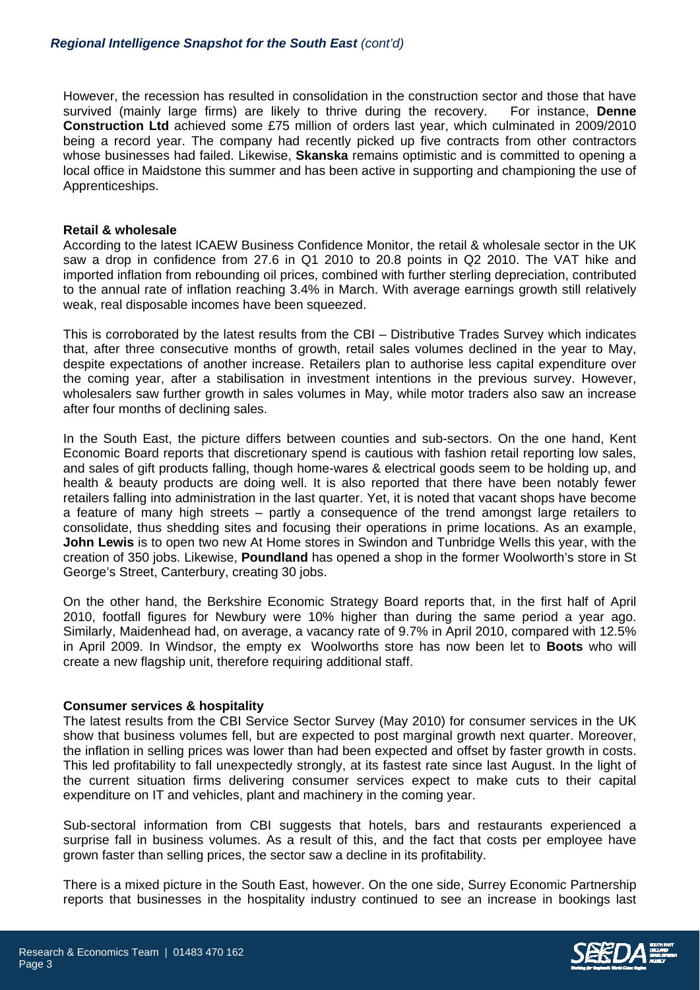However, the recession has resulted in consolidation in the construction sector and those that have survived (mainly large firms) are likely to thrive during the recovery. For instance, **Denne Construction Ltd** achieved some £75 million of orders last year, which culminated in 2009/2010 being a record year. The company had recently picked up five contracts from other contractors whose businesses had failed. Likewise, **Skanska** remains optimistic and is committed to opening a local office in Maidstone this summer and has been active in supporting and championing the use of Apprenticeships.

### **Retail & wholesale**

According to the latest ICAEW Business Confidence Monitor, the retail & wholesale sector in the UK saw a drop in confidence from 27.6 in Q1 2010 to 20.8 points in Q2 2010. The VAT hike and imported inflation from rebounding oil prices, combined with further sterling depreciation, contributed to the annual rate of inflation reaching 3.4% in March. With average earnings growth still relatively weak, real disposable incomes have been squeezed.

This is corroborated by the latest results from the CBI – Distributive Trades Survey which indicates that, after three consecutive months of growth, retail sales volumes declined in the year to May, despite expectations of another increase. Retailers plan to authorise less capital expenditure over the coming year, after a stabilisation in investment intentions in the previous survey. However, wholesalers saw further growth in sales volumes in May, while motor traders also saw an increase after four months of declining sales.

In the South East, the picture differs between counties and sub-sectors. On the one hand, Kent Economic Board reports that discretionary spend is cautious with fashion retail reporting low sales, and sales of gift products falling, though home-wares & electrical goods seem to be holding up, and health & beauty products are doing well. It is also reported that there have been notably fewer retailers falling into administration in the last quarter. Yet, it is noted that vacant shops have become a feature of many high streets – partly a consequence of the trend amongst large retailers to consolidate, thus shedding sites and focusing their operations in prime locations. As an example, **John Lewis** is to open two new At Home stores in Swindon and Tunbridge Wells this year, with the creation of 350 jobs. Likewise, **Poundland** has opened a shop in the former Woolworth's store in St George's Street, Canterbury, creating 30 jobs.

On the other hand, the Berkshire Economic Strategy Board reports that, in the first half of April 2010, footfall figures for Newbury were 10% higher than during the same period a year ago. Similarly, Maidenhead had, on average, a vacancy rate of 9.7% in April 2010, compared with 12.5% in April 2009. In Windsor, the empty ex Woolworths store has now been let to **Boots** who will create a new flagship unit, therefore requiring additional staff.

# **Consumer services & hospitality**

The latest results from the CBI Service Sector Survey (May 2010) for consumer services in the UK show that business volumes fell, but are expected to post marginal growth next quarter. Moreover, the inflation in selling prices was lower than had been expected and offset by faster growth in costs. This led profitability to fall unexpectedly strongly, at its fastest rate since last August. In the light of the current situation firms delivering consumer services expect to make cuts to their capital expenditure on IT and vehicles, plant and machinery in the coming year.

Sub-sectoral information from CBI suggests that hotels, bars and restaurants experienced a surprise fall in business volumes. As a result of this, and the fact that costs per employee have grown faster than selling prices, the sector saw a decline in its profitability.

There is a mixed picture in the South East, however. On the one side, Surrey Economic Partnership reports that businesses in the hospitality industry continued to see an increase in bookings last

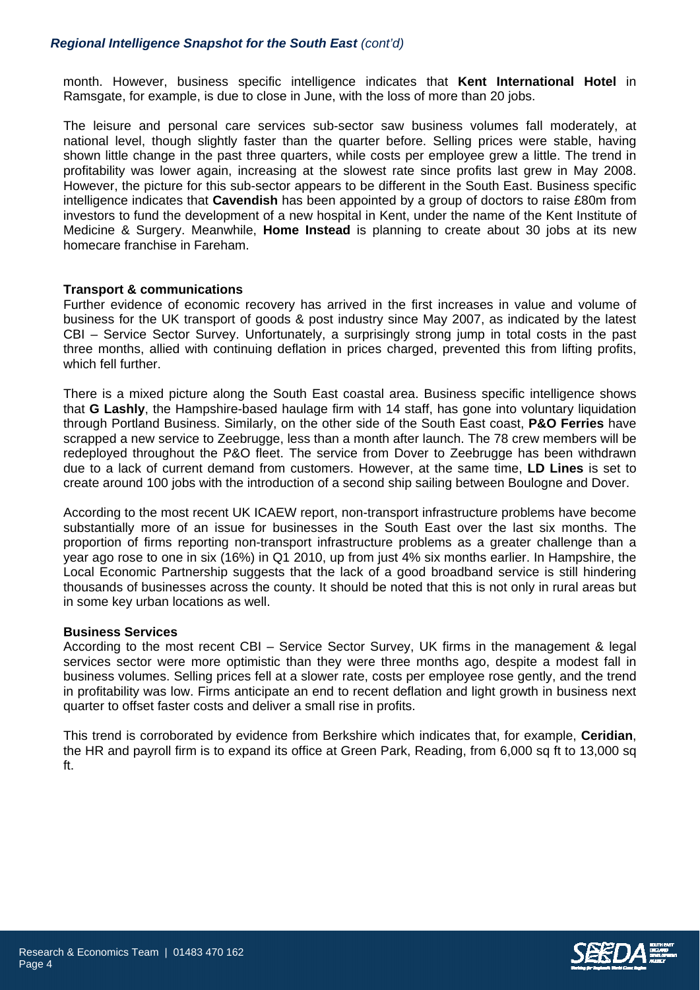# *Regional Intelligence Snapshot for the South East (cont'd)*

month. However, business specific intelligence indicates that **Kent International Hotel** in Ramsgate, for example, is due to close in June, with the loss of more than 20 jobs.

The leisure and personal care services sub-sector saw business volumes fall moderately, at national level, though slightly faster than the quarter before. Selling prices were stable, having shown little change in the past three quarters, while costs per employee grew a little. The trend in profitability was lower again, increasing at the slowest rate since profits last grew in May 2008. However, the picture for this sub-sector appears to be different in the South East. Business specific intelligence indicates that **Cavendish** has been appointed by a group of doctors to raise £80m from investors to fund the development of a new hospital in Kent, under the name of the Kent Institute of Medicine & Surgery. Meanwhile, **Home Instead** is planning to create about 30 jobs at its new homecare franchise in Fareham.

### **Transport & communications**

Further evidence of economic recovery has arrived in the first increases in value and volume of business for the UK transport of goods & post industry since May 2007, as indicated by the latest CBI – Service Sector Survey. Unfortunately, a surprisingly strong jump in total costs in the past three months, allied with continuing deflation in prices charged, prevented this from lifting profits, which fell further.

There is a mixed picture along the South East coastal area. Business specific intelligence shows that **G Lashly**, the Hampshire-based haulage firm with 14 staff, has gone into voluntary liquidation through Portland Business. Similarly, on the other side of the South East coast, **P&O Ferries** have scrapped a new service to Zeebrugge, less than a month after launch. The 78 crew members will be redeployed throughout the P&O fleet. The service from Dover to Zeebrugge has been withdrawn due to a lack of current demand from customers. However, at the same time, **LD Lines** is set to create around 100 jobs with the introduction of a second ship sailing between Boulogne and Dover.

According to the most recent UK ICAEW report, non-transport infrastructure problems have become substantially more of an issue for businesses in the South East over the last six months. The proportion of firms reporting non-transport infrastructure problems as a greater challenge than a year ago rose to one in six (16%) in Q1 2010, up from just 4% six months earlier. In Hampshire, the Local Economic Partnership suggests that the lack of a good broadband service is still hindering thousands of businesses across the county. It should be noted that this is not only in rural areas but in some key urban locations as well.

#### **Business Services**

According to the most recent CBI – Service Sector Survey, UK firms in the management & legal services sector were more optimistic than they were three months ago, despite a modest fall in business volumes. Selling prices fell at a slower rate, costs per employee rose gently, and the trend in profitability was low. Firms anticipate an end to recent deflation and light growth in business next quarter to offset faster costs and deliver a small rise in profits.

This trend is corroborated by evidence from Berkshire which indicates that, for example, **Ceridian**, the HR and payroll firm is to expand its office at Green Park, Reading, from 6,000 sq ft to 13,000 sq ft.

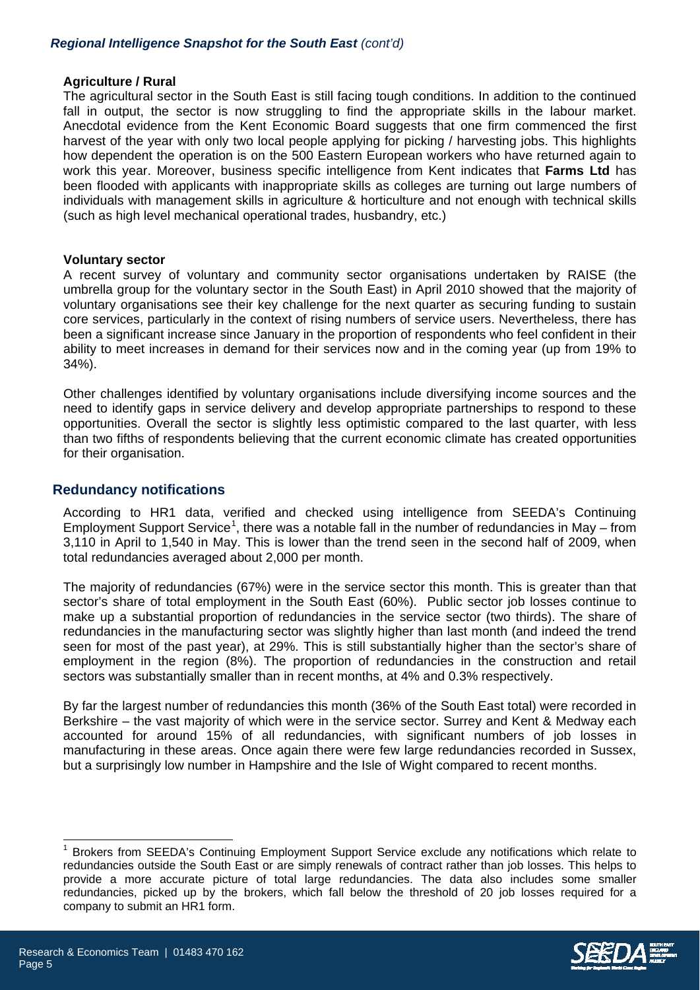# *Regional Intelligence Snapshot for the South East (cont'd)*

#### **Agriculture / Rural**

The agricultural sector in the South East is still facing tough conditions. In addition to the continued fall in output, the sector is now struggling to find the appropriate skills in the labour market. Anecdotal evidence from the Kent Economic Board suggests that one firm commenced the first harvest of the year with only two local people applying for picking / harvesting jobs. This highlights how dependent the operation is on the 500 Eastern European workers who have returned again to work this year. Moreover, business specific intelligence from Kent indicates that **Farms Ltd** has been flooded with applicants with inappropriate skills as colleges are turning out large numbers of individuals with management skills in agriculture & horticulture and not enough with technical skills (such as high level mechanical operational trades, husbandry, etc.)

#### **Voluntary sector**

A recent survey of voluntary and community sector organisations undertaken by RAISE (the umbrella group for the voluntary sector in the South East) in April 2010 showed that the majority of voluntary organisations see their key challenge for the next quarter as securing funding to sustain core services, particularly in the context of rising numbers of service users. Nevertheless, there has been a significant increase since January in the proportion of respondents who feel confident in their ability to meet increases in demand for their services now and in the coming year (up from 19% to 34%).

Other challenges identified by voluntary organisations include diversifying income sources and the need to identify gaps in service delivery and develop appropriate partnerships to respond to these opportunities. Overall the sector is slightly less optimistic compared to the last quarter, with less than two fifths of respondents believing that the current economic climate has created opportunities for their organisation.

# **Redundancy notifications**

According to HR1 data, verified and checked using intelligence from SEEDA's Continuing Employment Support Service<sup>[1](#page-4-0)</sup>, there was a notable fall in the number of redundancies in May – from 3,110 in April to 1,540 in May. This is lower than the trend seen in the second half of 2009, when total redundancies averaged about 2,000 per month.

The majority of redundancies (67%) were in the service sector this month. This is greater than that sector's share of total employment in the South East (60%). Public sector job losses continue to make up a substantial proportion of redundancies in the service sector (two thirds). The share of redundancies in the manufacturing sector was slightly higher than last month (and indeed the trend seen for most of the past year), at 29%. This is still substantially higher than the sector's share of employment in the region (8%). The proportion of redundancies in the construction and retail sectors was substantially smaller than in recent months, at 4% and 0.3% respectively.

By far the largest number of redundancies this month (36% of the South East total) were recorded in Berkshire – the vast majority of which were in the service sector. Surrey and Kent & Medway each accounted for around 15% of all redundancies, with significant numbers of job losses in manufacturing in these areas. Once again there were few large redundancies recorded in Sussex, but a surprisingly low number in Hampshire and the Isle of Wight compared to recent months.

<span id="page-4-0"></span>l <sup>1</sup> Brokers from SEEDA's Continuing Employment Support Service exclude any notifications which relate to redundancies outside the South East or are simply renewals of contract rather than job losses. This helps to provide a more accurate picture of total large redundancies. The data also includes some smaller redundancies, picked up by the brokers, which fall below the threshold of 20 job losses required for a company to submit an HR1 form.